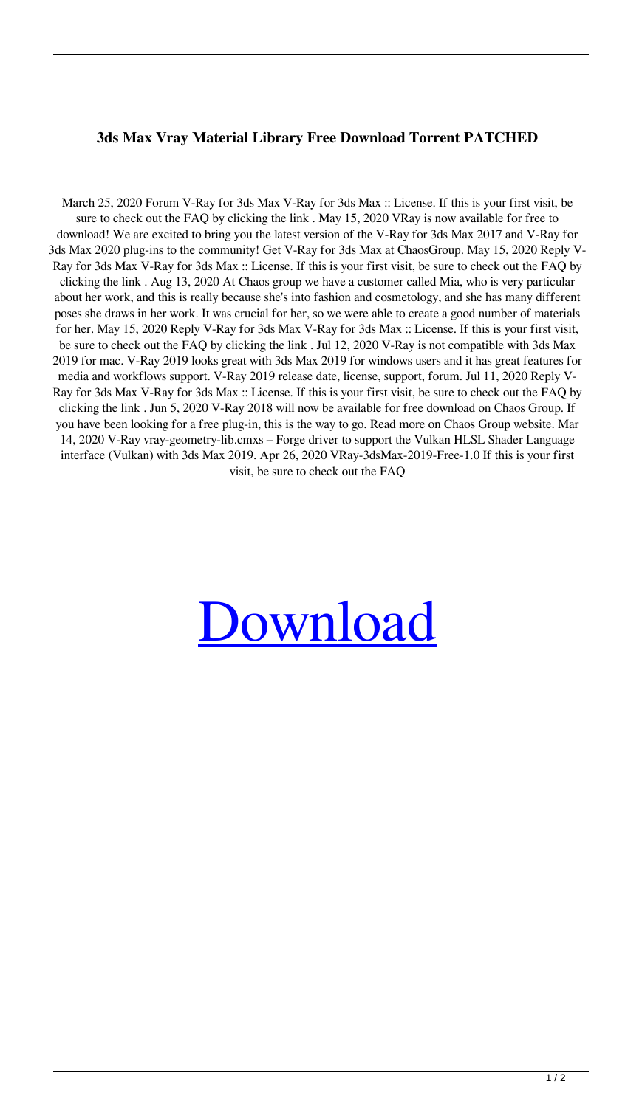## **3ds Max Vray Material Library Free Download Torrent PATCHED**

March 25, 2020 Forum V-Ray for 3ds Max V-Ray for 3ds Max :: License. If this is your first visit, be sure to check out the FAQ by clicking the link . May 15, 2020 VRay is now available for free to download! We are excited to bring you the latest version of the V-Ray for 3ds Max 2017 and V-Ray for 3ds Max 2020 plug-ins to the community! Get V-Ray for 3ds Max at ChaosGroup. May 15, 2020 Reply V-Ray for 3ds Max V-Ray for 3ds Max :: License. If this is your first visit, be sure to check out the FAQ by clicking the link . Aug 13, 2020 At Chaos group we have a customer called Mia, who is very particular about her work, and this is really because she's into fashion and cosmetology, and she has many different poses she draws in her work. It was crucial for her, so we were able to create a good number of materials for her. May 15, 2020 Reply V-Ray for 3ds Max V-Ray for 3ds Max :: License. If this is your first visit, be sure to check out the FAQ by clicking the link . Jul 12, 2020 V-Ray is not compatible with 3ds Max 2019 for mac. V-Ray 2019 looks great with 3ds Max 2019 for windows users and it has great features for media and workflows support. V-Ray 2019 release date, license, support, forum. Jul 11, 2020 Reply V-Ray for 3ds Max V-Ray for 3ds Max :: License. If this is your first visit, be sure to check out the FAQ by clicking the link . Jun 5, 2020 V-Ray 2018 will now be available for free download on Chaos Group. If you have been looking for a free plug-in, this is the way to go. Read more on Chaos Group website. Mar 14, 2020 V-Ray vray-geometry-lib.cmxs – Forge driver to support the Vulkan HLSL Shader Language interface (Vulkan) with 3ds Max 2019. Apr 26, 2020 VRay-3dsMax-2019-Free-1.0 If this is your first visit, be sure to check out the FAQ

## **[Download](http://evacdir.com/bedlocker/smokestacks/bloggy/diems.employeed/mutans/M2RzIG1heCB2cmF5IG1hdGVyaWFsIGxpYnJhcnkgZnJlZSBkb3dubG9hZCB0b3JyZW50M2R.ZG93bmxvYWR8blM1TWpRMmVIeDhNVFkxTlRnME1qazRNWHg4TWpVNE4zeDhLRTBwSUVobGNtOXJkU0JiUm1GemRDQkhSVTVk)**